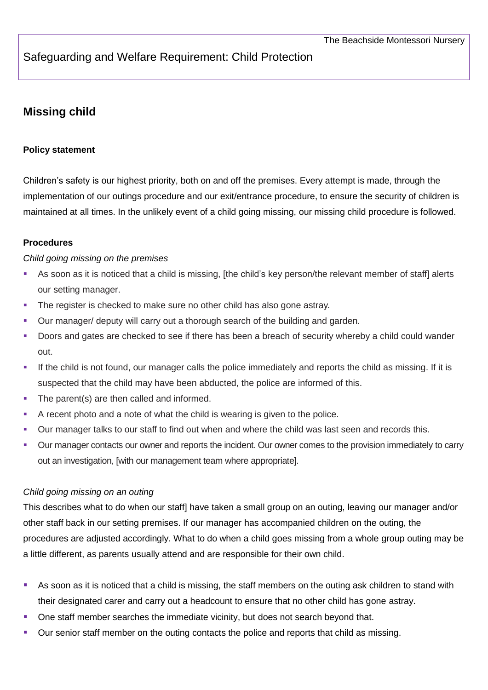# Safeguarding and Welfare Requirement: Child Protection

## **Missing child**

## **Policy statement**

Children's safety is our highest priority, both on and off the premises. Every attempt is made, through the implementation of our outings procedure and our exit/entrance procedure, to ensure the security of children is maintained at all times. In the unlikely event of a child going missing, our missing child procedure is followed.

### **Procedures**

#### *Child going missing on the premises*

- As soon as it is noticed that a child is missing, [the child's key person/the relevant member of staff] alerts our setting manager.
- The register is checked to make sure no other child has also gone astray.
- Our manager/ deputy will carry out a thorough search of the building and garden.
- Doors and gates are checked to see if there has been a breach of security whereby a child could wander out.
- If the child is not found, our manager calls the police immediately and reports the child as missing. If it is suspected that the child may have been abducted, the police are informed of this.
- The parent(s) are then called and informed.
- A recent photo and a note of what the child is wearing is given to the police.
- Our manager talks to our staff to find out when and where the child was last seen and records this.
- Our manager contacts our owner and reports the incident. Our owner comes to the provision immediately to carry out an investigation, [with our management team where appropriate].

#### *Child going missing on an outing*

This describes what to do when our staff] have taken a small group on an outing, leaving our manager and/or other staff back in our setting premises. If our manager has accompanied children on the outing, the procedures are adjusted accordingly. What to do when a child goes missing from a whole group outing may be a little different, as parents usually attend and are responsible for their own child.

- As soon as it is noticed that a child is missing, the staff members on the outing ask children to stand with their designated carer and carry out a headcount to ensure that no other child has gone astray.
- One staff member searches the immediate vicinity, but does not search beyond that.
- Our senior staff member on the outing contacts the police and reports that child as missing.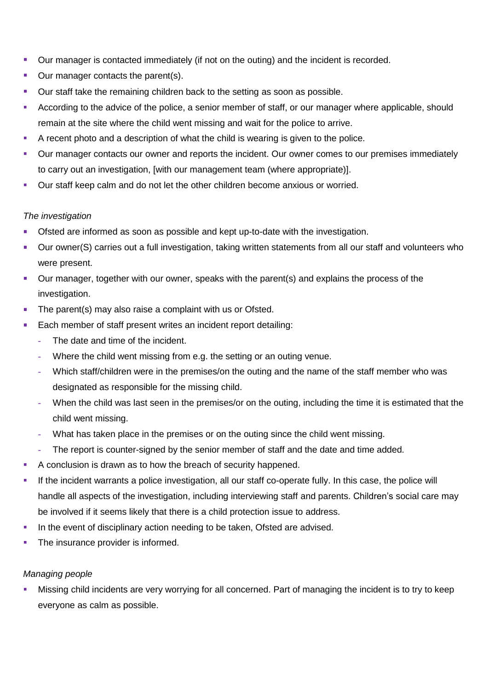- **Dur manager is contacted immediately (if not on the outing) and the incident is recorded.**
- **Our manager contacts the parent(s).**
- Our staff take the remaining children back to the setting as soon as possible.
- According to the advice of the police, a senior member of staff, or our manager where applicable, should remain at the site where the child went missing and wait for the police to arrive.
- A recent photo and a description of what the child is wearing is given to the police.
- Our manager contacts our owner and reports the incident. Our owner comes to our premises immediately to carry out an investigation, [with our management team (where appropriate)].
- Our staff keep calm and do not let the other children become anxious or worried.

#### *The investigation*

- Ofsted are informed as soon as possible and kept up-to-date with the investigation.
- Our owner(S) carries out a full investigation, taking written statements from all our staff and volunteers who were present.
- Our manager, together with our owner, speaks with the parent(s) and explains the process of the investigation.
- The parent(s) may also raise a complaint with us or Ofsted.
- Each member of staff present writes an incident report detailing:
	- **-** The date and time of the incident.
	- **-** Where the child went missing from e.g. the setting or an outing venue.
	- **-** Which staff/children were in the premises/on the outing and the name of the staff member who was designated as responsible for the missing child.
	- **-** When the child was last seen in the premises/or on the outing, including the time it is estimated that the child went missing.
	- **-** What has taken place in the premises or on the outing since the child went missing.
	- **-** The report is counter-signed by the senior member of staff and the date and time added.
- A conclusion is drawn as to how the breach of security happened.
- If the incident warrants a police investigation, all our staff co-operate fully. In this case, the police will handle all aspects of the investigation, including interviewing staff and parents. Children's social care may be involved if it seems likely that there is a child protection issue to address.
- In the event of disciplinary action needing to be taken, Ofsted are advised.
- The insurance provider is informed.

#### *Managing people*

 Missing child incidents are very worrying for all concerned. Part of managing the incident is to try to keep everyone as calm as possible.